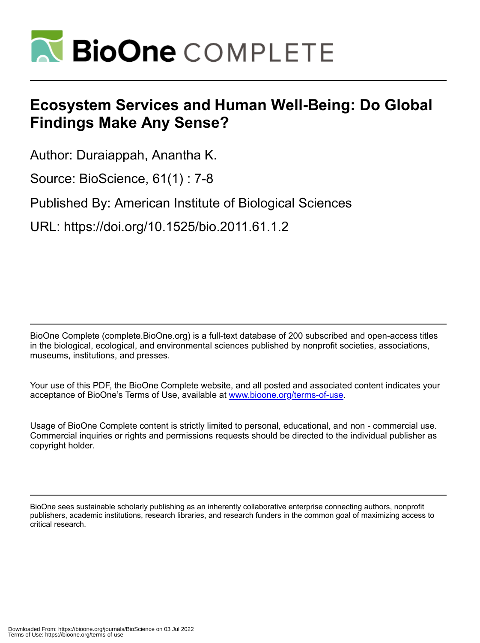

## **Ecosystem Services and Human Well-Being: Do Global Findings Make Any Sense?**

Author: Duraiappah, Anantha K.

Source: BioScience, 61(1) : 7-8

Published By: American Institute of Biological Sciences

URL: https://doi.org/10.1525/bio.2011.61.1.2

BioOne Complete (complete.BioOne.org) is a full-text database of 200 subscribed and open-access titles in the biological, ecological, and environmental sciences published by nonprofit societies, associations, museums, institutions, and presses.

Your use of this PDF, the BioOne Complete website, and all posted and associated content indicates your acceptance of BioOne's Terms of Use, available at www.bioone.org/terms-of-use.

Usage of BioOne Complete content is strictly limited to personal, educational, and non - commercial use. Commercial inquiries or rights and permissions requests should be directed to the individual publisher as copyright holder.

BioOne sees sustainable scholarly publishing as an inherently collaborative enterprise connecting authors, nonprofit publishers, academic institutions, research libraries, and research funders in the common goal of maximizing access to critical research.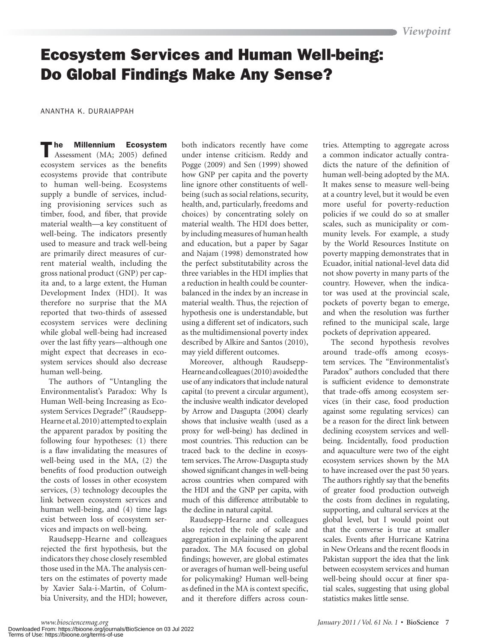# **Ecosystem Services and Human Well-being: Do Global Findings Make Any Sense?**

ANANTHA K. DURAIAPPAH

The Millennium Ecosystem Assessment (MA; 2005) defined ecosystem services as the benefits ecosystems provide that contribute to human well-being. Ecosystems supply a bundle of services, including provisioning services such as timber, food, and fiber, that provide material wealth—a key constituent of well-being. The indicators presently used to measure and track well-being are primarily direct measures of current material wealth, including the gross national product (GNP) per capita and, to a large extent, the Human Development Index (HDI). It was therefore no surprise that the MA reported that two-thirds of assessed ecosystem services were declining while global well-being had increased over the last fifty years—although one might expect that decreases in ecosystem services should also decrease human well-being.

The authors of "Untangling the Environmentalist's Paradox: Why Is Human Well-being Increasing as Ecosystem Services Degrade?" (Raudsepp-Hearne et al. 2010) attempted to explain the apparent paradox by positing the following four hypotheses: (1) there is a flaw invalidating the measures of well-being used in the MA, (2) the benefits of food production outweigh the costs of losses in other ecosystem services, (3) technology decouples the link between ecosystem services and human well-being, and (4) time lags exist between loss of ecosystem services and impacts on well-being.

Raudsepp-Hearne and colleagues rejected the first hypothesis, but the indicators they chose closely resembled those used in the MA. The analysis centers on the estimates of poverty made by Xavier Sala-i-Martin, of Columbia University, and the HDI; however, both indicators recently have come under intense criticism. Reddy and Pogge (2009) and Sen (1999) showed how GNP per capita and the poverty line ignore other constituents of wellbeing (such as social relations, security, health, and, particularly, freedoms and choices) by concentrating solely on material wealth. The HDI does better, by including measures of human health and education, but a paper by Sagar and Najam (1998) demonstrated how the perfect substitutability across the three variables in the HDI implies that a reduction in health could be counterbalanced in the index by an increase in material wealth. Thus, the rejection of hypothesis one is understandable, but using a different set of indicators, such as the multidimensional poverty index described by Alkire and Santos (2010), may yield different outcomes.

Moreover, although Raudsepp-Hearne and colleagues (2010) avoided the use of any indicators that include natural capital (to prevent a circular argument), the inclusive wealth indicator developed by Arrow and Dasgupta (2004) clearly shows that inclusive wealth (used as a proxy for well-being) has declined in most countries. This reduction can be traced back to the decline in ecosystem services. The Arrow-Dasgupta study showed significant changes in well-being across countries when compared with the HDI and the GNP per capita, with much of this difference attributable to the decline in natural capital.

Raudsepp-Hearne and colleagues also rejected the role of scale and aggregation in explaining the apparent paradox. The MA focused on global findings; however, are global estimates or averages of human well-being useful for policymaking? Human well-being as defined in the MA is context specific, and it therefore differs across countries. Attempting to aggregate across a common indicator actually contradicts the nature of the definition of human well-being adopted by the MA. It makes sense to measure well-being at a country level, but it would be even more useful for poverty-reduction policies if we could do so at smaller scales, such as municipality or community levels. For example, a study by the World Resources Institute on poverty mapping demonstrates that in Ecuador, initial national-level data did not show poverty in many parts of the country. However, when the indicator was used at the provincial scale, pockets of poverty began to emerge, and when the resolution was further refined to the municipal scale, large pockets of deprivation appeared.

The second hypothesis revolves around trade-offs among ecosystem services. The "Environmentalist's Paradox" authors concluded that there is sufficient evidence to demonstrate that trade-offs among ecosystem services (in their case, food production against some regulating services) can be a reason for the direct link between declining ecosystem services and wellbeing. Incidentally, food production and aquaculture were two of the eight ecosystem services shown by the MA to have increased over the past 50 years. The authors rightly say that the benefits of greater food production outweigh the costs from declines in regulating, supporting, and cultural services at the global level, but I would point out that the converse is true at smaller scales. Events after Hurricane Katrina in New Orleans and the recent floods in Pakistan support the idea that the link between ecosystem services and human well-being should occur at finer spatial scales, suggesting that using global statistics makes little sense.